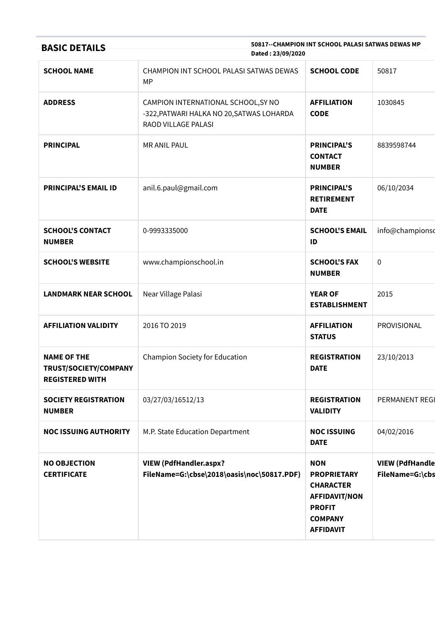| 50817--CHAMPION INT SCHOOL PALASI SATWAS DEWAS MP<br><b>BASIC DETAILS</b><br>Dated: 23/09/2020 |                                                                                                         |                                                                                                                                     |                                           |
|------------------------------------------------------------------------------------------------|---------------------------------------------------------------------------------------------------------|-------------------------------------------------------------------------------------------------------------------------------------|-------------------------------------------|
| <b>SCHOOL NAME</b>                                                                             | CHAMPION INT SCHOOL PALASI SATWAS DEWAS<br>MP                                                           | <b>SCHOOL CODE</b>                                                                                                                  | 50817                                     |
| <b>ADDRESS</b>                                                                                 | CAMPION INTERNATIONAL SCHOOL, SY NO<br>-322, PATWARI HALKA NO 20, SATWAS LOHARDA<br>RAOD VILLAGE PALASI | <b>AFFILIATION</b><br><b>CODE</b>                                                                                                   | 1030845                                   |
| <b>PRINCIPAL</b>                                                                               | <b>MR ANIL PAUL</b>                                                                                     | <b>PRINCIPAL'S</b><br><b>CONTACT</b><br><b>NUMBER</b>                                                                               | 8839598744                                |
| <b>PRINCIPAL'S EMAIL ID</b>                                                                    | anil.6.paul@gmail.com                                                                                   | <b>PRINCIPAL'S</b><br><b>RETIREMENT</b><br><b>DATE</b>                                                                              | 06/10/2034                                |
| <b>SCHOOL'S CONTACT</b><br><b>NUMBER</b>                                                       | 0-9993335000                                                                                            | <b>SCHOOL'S EMAIL</b><br>ID                                                                                                         | info@championso                           |
| <b>SCHOOL'S WEBSITE</b>                                                                        | www.championschool.in                                                                                   | <b>SCHOOL'S FAX</b><br><b>NUMBER</b>                                                                                                | $\pmb{0}$                                 |
| <b>LANDMARK NEAR SCHOOL</b>                                                                    | Near Village Palasi                                                                                     | <b>YEAR OF</b><br><b>ESTABLISHMENT</b>                                                                                              | 2015                                      |
| <b>AFFILIATION VALIDITY</b>                                                                    | 2016 TO 2019                                                                                            | <b>AFFILIATION</b><br><b>STATUS</b>                                                                                                 | PROVISIONAL                               |
| <b>NAME OF THE</b><br>TRUST/SOCIETY/COMPANY<br><b>REGISTERED WITH</b>                          | Champion Society for Education                                                                          | <b>REGISTRATION</b><br><b>DATE</b>                                                                                                  | 23/10/2013                                |
| <b>SOCIETY REGISTRATION</b><br><b>NUMBER</b>                                                   | 03/27/03/16512/13                                                                                       | <b>REGISTRATION</b><br><b>VALIDITY</b>                                                                                              | PERMANENT REGI                            |
| <b>NOC ISSUING AUTHORITY</b>                                                                   | M.P. State Education Department                                                                         | <b>NOC ISSUING</b><br><b>DATE</b>                                                                                                   | 04/02/2016                                |
| <b>NO OBJECTION</b><br><b>CERTIFICATE</b>                                                      | <b>VIEW (PdfHandler.aspx?</b><br>FileName=G:\cbse\2018\oasis\noc\50817.PDF)                             | <b>NON</b><br><b>PROPRIETARY</b><br><b>CHARACTER</b><br><b>AFFIDAVIT/NON</b><br><b>PROFIT</b><br><b>COMPANY</b><br><b>AFFIDAVIT</b> | <b>VIEW (PdfHandle</b><br>FileName=G:\cbs |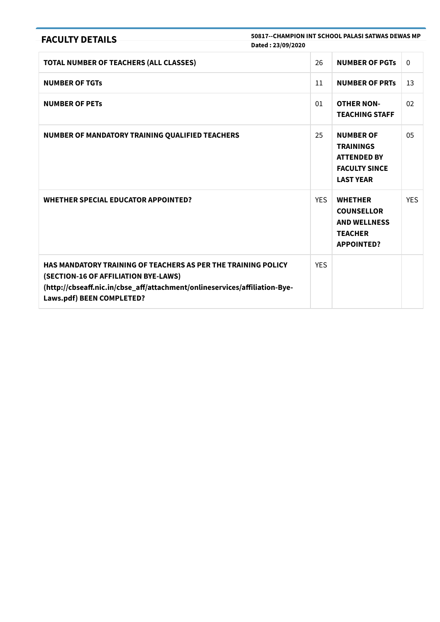| <b>FACULTY DETAILS</b>                                                                                                                                                                                           | 50817--CHAMPION INT SCHOOL PALASI SATWAS DEWAS MP |                                                                                                        |            |
|------------------------------------------------------------------------------------------------------------------------------------------------------------------------------------------------------------------|---------------------------------------------------|--------------------------------------------------------------------------------------------------------|------------|
|                                                                                                                                                                                                                  | Dated: 23/09/2020                                 |                                                                                                        |            |
| TOTAL NUMBER OF TEACHERS (ALL CLASSES)                                                                                                                                                                           | 26                                                | <b>NUMBER OF PGTs</b>                                                                                  | $\Omega$   |
| <b>NUMBER OF TGTS</b>                                                                                                                                                                                            | 11                                                | <b>NUMBER OF PRTS</b>                                                                                  | 13         |
| <b>NUMBER OF PETS</b>                                                                                                                                                                                            | 01                                                | <b>OTHER NON-</b><br><b>TEACHING STAFF</b>                                                             | 02         |
| NUMBER OF MANDATORY TRAINING QUALIFIED TEACHERS                                                                                                                                                                  | 25                                                | <b>NUMBER OF</b><br><b>TRAININGS</b><br><b>ATTENDED BY</b><br><b>FACULTY SINCE</b><br><b>LAST YEAR</b> | 05         |
| <b>WHETHER SPECIAL EDUCATOR APPOINTED?</b>                                                                                                                                                                       | <b>YES</b>                                        | <b>WHETHER</b><br><b>COUNSELLOR</b><br><b>AND WELLNESS</b><br><b>TEACHER</b><br><b>APPOINTED?</b>      | <b>YES</b> |
| HAS MANDATORY TRAINING OF TEACHERS AS PER THE TRAINING POLICY<br>(SECTION-16 OF AFFILIATION BYE-LAWS)<br>(http://cbseaff.nic.in/cbse_aff/attachment/onlineservices/affiliation-Bye-<br>Laws.pdf) BEEN COMPLETED? | <b>YES</b>                                        |                                                                                                        |            |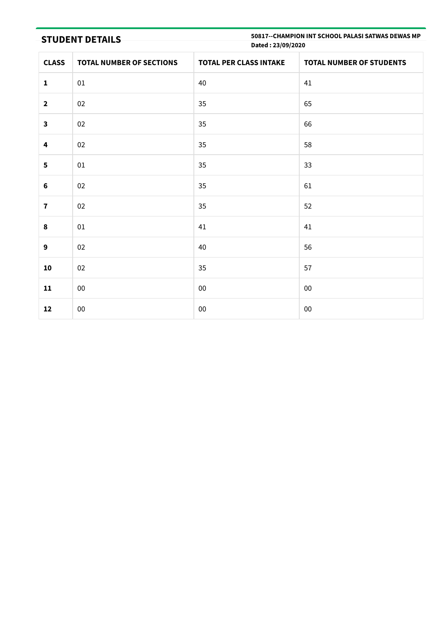STUDENT DETAILS

50817--CHAMPION INT SCHOOL PALASI SATWAS DEWAS MP Dated : 23/09/2020

| <b>CLASS</b>            | <b>TOTAL NUMBER OF SECTIONS</b> | <b>TOTAL PER CLASS INTAKE</b> | <b>TOTAL NUMBER OF STUDENTS</b> |
|-------------------------|---------------------------------|-------------------------------|---------------------------------|
| $\mathbf 1$             | $01\,$                          | 40                            | 41                              |
| $\mathbf{2}$            | 02                              | 35                            | 65                              |
| $\mathbf{3}$            | 02                              | 35                            | 66                              |
| $\overline{\mathbf{4}}$ | 02                              | 35                            | 58                              |
| 5                       | $01\,$                          | 35                            | 33                              |
| $\bf 6$                 | 02                              | 35                            | 61                              |
| $\overline{\mathbf{I}}$ | 02                              | 35                            | 52                              |
| $\pmb{8}$               | 01                              | 41                            | 41                              |
| $\boldsymbol{9}$        | 02                              | 40                            | 56                              |
| ${\bf 10}$              | 02                              | 35                            | 57                              |
| 11                      | $00\,$                          | $00\,$                        | $00\,$                          |
| 12                      | $00\,$                          | ${\bf 00}$                    | ${\bf 00}$                      |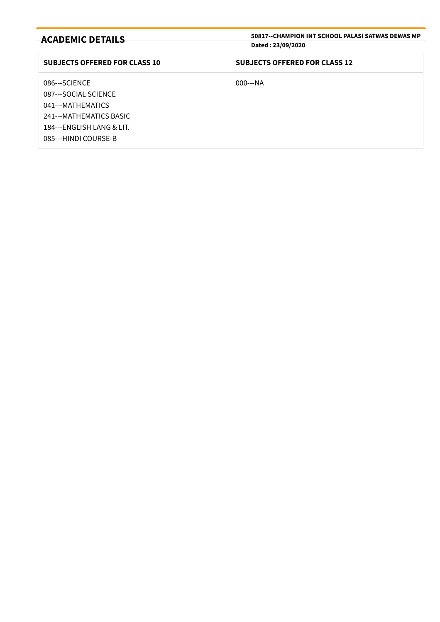| <b>ACADEMIC DETAILS</b>              | 50817--CHAMPION INT SCHOOL PALASI SATWAS DEWAS MP<br>Dated: 23/09/2020 |
|--------------------------------------|------------------------------------------------------------------------|
|                                      |                                                                        |
| <b>SUBJECTS OFFERED FOR CLASS 10</b> | <b>SUBJECTS OFFERED FOR CLASS 12</b>                                   |
| 086---SCIENCE                        | $000--NA$                                                              |
| 087---SOCIAL SCIENCE                 |                                                                        |
| 041---MATHEMATICS                    |                                                                        |
| 241---MATHEMATICS BASIC              |                                                                        |
| 184---ENGLISH LANG & LIT.            |                                                                        |
| 085---HINDI COURSE-B                 |                                                                        |
|                                      |                                                                        |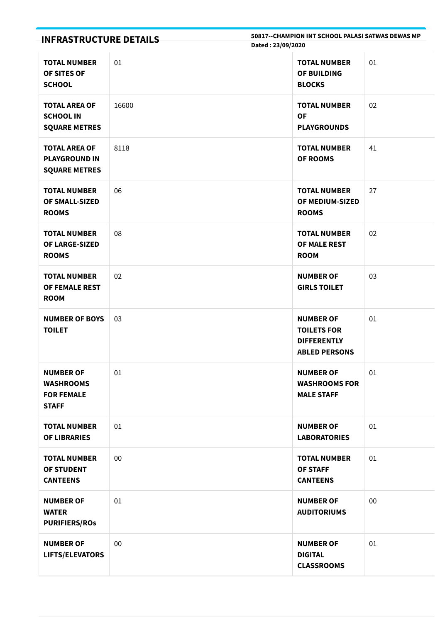| <b>INFRASTRUCTURE DETAILS</b>                                             |       | 50817--CHAMPION INT SCHOOL PALASI SATWAS DEWAS MP<br>Dated: 23/09/2020               |    |
|---------------------------------------------------------------------------|-------|--------------------------------------------------------------------------------------|----|
| <b>TOTAL NUMBER</b><br>OF SITES OF<br><b>SCHOOL</b>                       | 01    | <b>TOTAL NUMBER</b><br>OF BUILDING<br><b>BLOCKS</b>                                  | 01 |
| <b>TOTAL AREA OF</b><br><b>SCHOOL IN</b><br><b>SQUARE METRES</b>          | 16600 | <b>TOTAL NUMBER</b><br><b>OF</b><br><b>PLAYGROUNDS</b>                               | 02 |
| <b>TOTAL AREA OF</b><br><b>PLAYGROUND IN</b><br><b>SQUARE METRES</b>      | 8118  | <b>TOTAL NUMBER</b><br><b>OF ROOMS</b>                                               | 41 |
| <b>TOTAL NUMBER</b><br><b>OF SMALL-SIZED</b><br><b>ROOMS</b>              | 06    | <b>TOTAL NUMBER</b><br>OF MEDIUM-SIZED<br><b>ROOMS</b>                               | 27 |
| <b>TOTAL NUMBER</b><br>OF LARGE-SIZED<br><b>ROOMS</b>                     | 08    | <b>TOTAL NUMBER</b><br>OF MALE REST<br><b>ROOM</b>                                   | 02 |
| <b>TOTAL NUMBER</b><br>OF FEMALE REST<br><b>ROOM</b>                      | 02    | <b>NUMBER OF</b><br><b>GIRLS TOILET</b>                                              | 03 |
| <b>NUMBER OF BOYS</b><br><b>TOILET</b>                                    | 03    | <b>NUMBER OF</b><br><b>TOILETS FOR</b><br><b>DIFFERENTLY</b><br><b>ABLED PERSONS</b> | 01 |
| <b>NUMBER OF</b><br><b>WASHROOMS</b><br><b>FOR FEMALE</b><br><b>STAFF</b> | 01    | <b>NUMBER OF</b><br><b>WASHROOMS FOR</b><br><b>MALE STAFF</b>                        | 01 |
| <b>TOTAL NUMBER</b><br><b>OF LIBRARIES</b>                                | 01    | <b>NUMBER OF</b><br><b>LABORATORIES</b>                                              | 01 |
| <b>TOTAL NUMBER</b><br>OF STUDENT<br><b>CANTEENS</b>                      | 00    | <b>TOTAL NUMBER</b><br><b>OF STAFF</b><br><b>CANTEENS</b>                            | 01 |
| <b>NUMBER OF</b><br><b>WATER</b><br><b>PURIFIERS/ROS</b>                  | 01    | <b>NUMBER OF</b><br><b>AUDITORIUMS</b>                                               | 00 |
| <b>NUMBER OF</b><br><b>LIFTS/ELEVATORS</b>                                | 00    | <b>NUMBER OF</b><br><b>DIGITAL</b><br><b>CLASSROOMS</b>                              | 01 |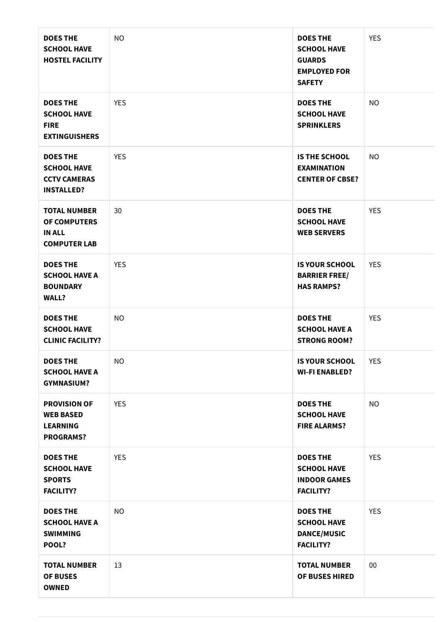| <b>DOES THE</b><br><b>SCHOOL HAVE</b><br><b>HOSTEL FACILITY</b>                   | NO.        | <b>DOES THE</b><br><b>SCHOOL HAVE</b><br><b>GUARDS</b><br><b>EMPLOYED FOR</b><br><b>SAFETY</b> | <b>YES</b> |
|-----------------------------------------------------------------------------------|------------|------------------------------------------------------------------------------------------------|------------|
| <b>DOES THE</b><br><b>SCHOOL HAVE</b><br><b>FIRE</b><br><b>EXTINGUISHERS</b>      | <b>YES</b> | <b>DOES THE</b><br><b>SCHOOL HAVE</b><br><b>SPRINKLERS</b>                                     | <b>NO</b>  |
| <b>DOES THE</b><br><b>SCHOOL HAVE</b><br><b>CCTV CAMERAS</b><br><b>INSTALLED?</b> | <b>YES</b> | <b>IS THE SCHOOL</b><br><b>EXAMINATION</b><br><b>CENTER OF CBSE?</b>                           | <b>NO</b>  |
| <b>TOTAL NUMBER</b><br>OF COMPUTERS<br><b>IN ALL</b><br><b>COMPUTER LAB</b>       | 30         | <b>DOES THE</b><br><b>SCHOOL HAVE</b><br><b>WEB SERVERS</b>                                    | <b>YES</b> |
| <b>DOES THE</b><br><b>SCHOOL HAVE A</b><br><b>BOUNDARY</b><br><b>WALL?</b>        | <b>YES</b> | <b>IS YOUR SCHOOL</b><br><b>BARRIER FREE/</b><br><b>HAS RAMPS?</b>                             | <b>YES</b> |
| <b>DOES THE</b><br><b>SCHOOL HAVE</b><br><b>CLINIC FACILITY?</b>                  | NO.        | <b>DOES THE</b><br><b>SCHOOL HAVE A</b><br><b>STRONG ROOM?</b>                                 | <b>YES</b> |
| <b>DOES THE</b><br><b>SCHOOL HAVE A</b><br><b>GYMNASIUM?</b>                      | NO         | <b>IS YOUR SCHOOL</b><br><b>WI-FI ENABLED?</b>                                                 | YES        |
| <b>PROVISION OF</b><br><b>WEB BASED</b><br><b>LEARNING</b><br><b>PROGRAMS?</b>    | <b>YES</b> | <b>DOES THE</b><br><b>SCHOOL HAVE</b><br><b>FIRE ALARMS?</b>                                   | <b>NO</b>  |
| <b>DOES THE</b><br><b>SCHOOL HAVE</b><br><b>SPORTS</b><br><b>FACILITY?</b>        | <b>YES</b> | <b>DOES THE</b><br><b>SCHOOL HAVE</b><br><b>INDOOR GAMES</b><br><b>FACILITY?</b>               | <b>YES</b> |
| <b>DOES THE</b><br><b>SCHOOL HAVE A</b><br><b>SWIMMING</b><br>POOL?               | <b>NO</b>  | <b>DOES THE</b><br><b>SCHOOL HAVE</b><br><b>DANCE/MUSIC</b><br><b>FACILITY?</b>                | <b>YES</b> |
| <b>TOTAL NUMBER</b><br><b>OF BUSES</b><br><b>OWNED</b>                            | 13         | <b>TOTAL NUMBER</b><br>OF BUSES HIRED                                                          | $00\,$     |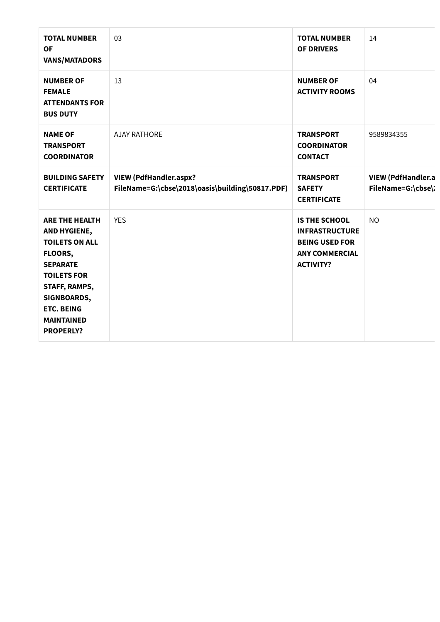| <b>TOTAL NUMBER</b><br><b>OF</b><br><b>VANS/MATADORS</b>                                                                                                                                                         | 03                                                                               | <b>TOTAL NUMBER</b><br><b>OF DRIVERS</b>                                                                            | 14                                       |
|------------------------------------------------------------------------------------------------------------------------------------------------------------------------------------------------------------------|----------------------------------------------------------------------------------|---------------------------------------------------------------------------------------------------------------------|------------------------------------------|
| <b>NUMBER OF</b><br><b>FEMALE</b><br><b>ATTENDANTS FOR</b><br><b>BUS DUTY</b>                                                                                                                                    | 13                                                                               | <b>NUMBER OF</b><br><b>ACTIVITY ROOMS</b>                                                                           | 04                                       |
| <b>NAME OF</b><br><b>TRANSPORT</b><br><b>COORDINATOR</b>                                                                                                                                                         | <b>AJAY RATHORE</b>                                                              | <b>TRANSPORT</b><br><b>COORDINATOR</b><br><b>CONTACT</b>                                                            | 9589834355                               |
| <b>BUILDING SAFETY</b><br><b>CERTIFICATE</b>                                                                                                                                                                     | <b>VIEW (PdfHandler.aspx?</b><br>FileName=G:\cbse\2018\oasis\building\50817.PDF) | <b>TRANSPORT</b><br><b>SAFETY</b><br><b>CERTIFICATE</b>                                                             | VIEW (PdfHandler.a<br>FileName=G:\cbse\: |
| <b>ARE THE HEALTH</b><br>AND HYGIENE,<br><b>TOILETS ON ALL</b><br>FLOORS,<br><b>SEPARATE</b><br><b>TOILETS FOR</b><br>STAFF, RAMPS,<br>SIGNBOARDS,<br><b>ETC. BEING</b><br><b>MAINTAINED</b><br><b>PROPERLY?</b> | <b>YES</b>                                                                       | <b>IS THE SCHOOL</b><br><b>INFRASTRUCTURE</b><br><b>BEING USED FOR</b><br><b>ANY COMMERCIAL</b><br><b>ACTIVITY?</b> | <b>NO</b>                                |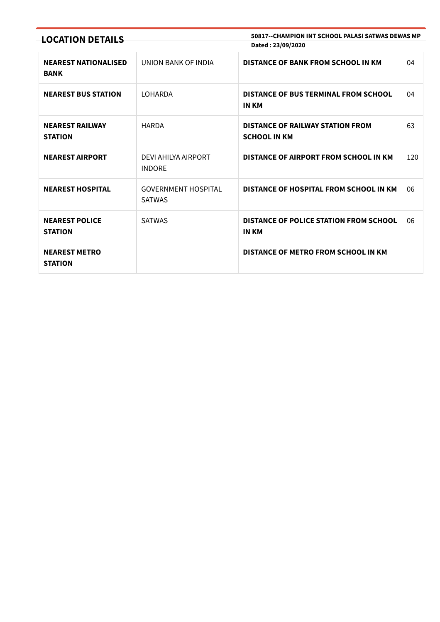| <b>LOCATION DETAILS</b>                    |                                             | 50817--CHAMPION INT SCHOOL PALASI SATWAS DEWAS MP<br>Dated: 23/09/2020 |     |
|--------------------------------------------|---------------------------------------------|------------------------------------------------------------------------|-----|
| <b>NEAREST NATIONALISED</b><br><b>BANK</b> | UNION BANK OF INDIA                         | DISTANCE OF BANK FROM SCHOOL IN KM                                     | 04  |
| <b>NEAREST BUS STATION</b>                 | LOHARDA                                     | DISTANCE OF BUS TERMINAL FROM SCHOOL<br>IN KM                          | 04  |
| <b>NEAREST RAILWAY</b><br><b>STATION</b>   | <b>HARDA</b>                                | DISTANCE OF RAILWAY STATION FROM<br><b>SCHOOL IN KM</b>                | 63  |
| <b>NEAREST AIRPORT</b>                     | DEVI AHILYA AIRPORT<br><b>INDORE</b>        | DISTANCE OF AIRPORT FROM SCHOOL IN KM                                  | 120 |
| <b>NEAREST HOSPITAL</b>                    | <b>GOVERNMENT HOSPITAL</b><br><b>SATWAS</b> | DISTANCE OF HOSPITAL FROM SCHOOL IN KM                                 | 06  |
| <b>NEAREST POLICE</b><br><b>STATION</b>    | <b>SATWAS</b>                               | DISTANCE OF POLICE STATION FROM SCHOOL<br><b>IN KM</b>                 | 06  |
| <b>NEAREST METRO</b><br><b>STATION</b>     |                                             | DISTANCE OF METRO FROM SCHOOL IN KM                                    |     |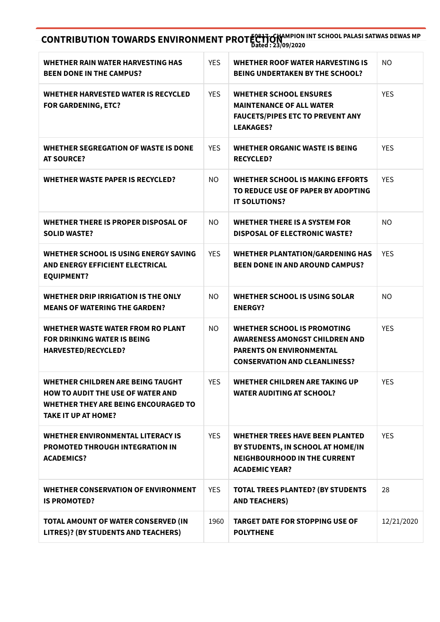CONTRIBUTION TOWARDS ENVIRONMENT PROTECTION AND INTITUDE PALASI SATWAS DEWAS MP Dated : 23/09/2020

| WHETHER RAIN WATER HARVESTING HAS<br><b>BEEN DONE IN THE CAMPUS?</b>                                                                                | <b>YES</b> | <b>WHETHER ROOF WATER HARVESTING IS</b><br><b>BEING UNDERTAKEN BY THE SCHOOL?</b>                                                                      | <b>NO</b>  |
|-----------------------------------------------------------------------------------------------------------------------------------------------------|------------|--------------------------------------------------------------------------------------------------------------------------------------------------------|------------|
| WHETHER HARVESTED WATER IS RECYCLED<br><b>FOR GARDENING, ETC?</b>                                                                                   | <b>YES</b> | <b>WHETHER SCHOOL ENSURES</b><br><b>MAINTENANCE OF ALL WATER</b><br><b>FAUCETS/PIPES ETC TO PREVENT ANY</b><br><b>LEAKAGES?</b>                        | <b>YES</b> |
| WHETHER SEGREGATION OF WASTE IS DONE<br><b>AT SOURCE?</b>                                                                                           | <b>YES</b> | WHETHER ORGANIC WASTE IS BEING<br><b>RECYCLED?</b>                                                                                                     | <b>YES</b> |
| <b>WHETHER WASTE PAPER IS RECYCLED?</b>                                                                                                             | NO.        | <b>WHETHER SCHOOL IS MAKING EFFORTS</b><br>TO REDUCE USE OF PAPER BY ADOPTING<br><b>IT SOLUTIONS?</b>                                                  | <b>YES</b> |
| <b>WHETHER THERE IS PROPER DISPOSAL OF</b><br><b>SOLID WASTE?</b>                                                                                   | NO.        | <b>WHETHER THERE IS A SYSTEM FOR</b><br><b>DISPOSAL OF ELECTRONIC WASTE?</b>                                                                           | <b>NO</b>  |
| WHETHER SCHOOL IS USING ENERGY SAVING<br>AND ENERGY EFFICIENT ELECTRICAL<br><b>EQUIPMENT?</b>                                                       | <b>YES</b> | <b>WHETHER PLANTATION/GARDENING HAS</b><br><b>BEEN DONE IN AND AROUND CAMPUS?</b>                                                                      | <b>YES</b> |
| WHETHER DRIP IRRIGATION IS THE ONLY<br><b>MEANS OF WATERING THE GARDEN?</b>                                                                         | NO.        | WHETHER SCHOOL IS USING SOLAR<br><b>ENERGY?</b>                                                                                                        | <b>NO</b>  |
| <b>WHETHER WASTE WATER FROM RO PLANT</b><br><b>FOR DRINKING WATER IS BEING</b><br><b>HARVESTED/RECYCLED?</b>                                        | <b>NO</b>  | <b>WHETHER SCHOOL IS PROMOTING</b><br><b>AWARENESS AMONGST CHILDREN AND</b><br><b>PARENTS ON ENVIRONMENTAL</b><br><b>CONSERVATION AND CLEANLINESS?</b> | <b>YES</b> |
| WHETHER CHILDREN ARE BEING TAUGHT<br><b>HOW TO AUDIT THE USE OF WATER AND</b><br>WHETHER THEY ARE BEING ENCOURAGED TO<br><b>TAKE IT UP AT HOME?</b> | <b>YES</b> | WHETHER CHILDREN ARE TAKING UP<br><b>WATER AUDITING AT SCHOOL?</b>                                                                                     | <b>YES</b> |
| <b>WHETHER ENVIRONMENTAL LITERACY IS</b><br><b>PROMOTED THROUGH INTEGRATION IN</b><br><b>ACADEMICS?</b>                                             | <b>YES</b> | <b>WHETHER TREES HAVE BEEN PLANTED</b><br>BY STUDENTS, IN SCHOOL AT HOME/IN<br><b>NEIGHBOURHOOD IN THE CURRENT</b><br><b>ACADEMIC YEAR?</b>            | <b>YES</b> |
| <b>WHETHER CONSERVATION OF ENVIRONMENT</b><br><b>IS PROMOTED?</b>                                                                                   | <b>YES</b> | <b>TOTAL TREES PLANTED? (BY STUDENTS</b><br><b>AND TEACHERS)</b>                                                                                       | 28         |
| TOTAL AMOUNT OF WATER CONSERVED (IN<br>LITRES)? (BY STUDENTS AND TEACHERS)                                                                          | 1960       | <b>TARGET DATE FOR STOPPING USE OF</b><br><b>POLYTHENE</b>                                                                                             | 12/21/2020 |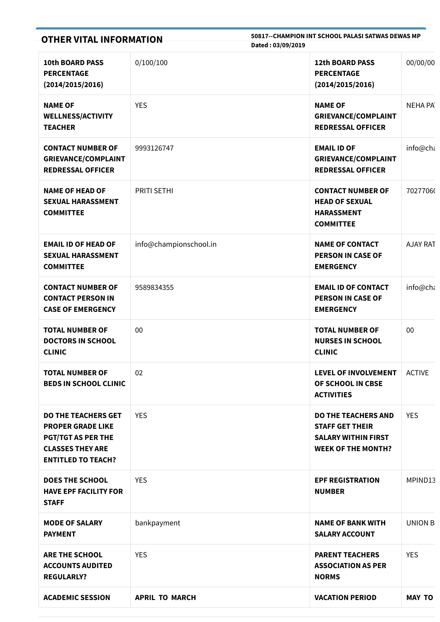| <b>OTHER VITAL INFORMATION</b>                                                                                                              |                        | 50817--CHAMPION INT SCHOOL PALASI SATWAS DEWAS MP<br>Dated: 03/09/2019                                          |                |  |
|---------------------------------------------------------------------------------------------------------------------------------------------|------------------------|-----------------------------------------------------------------------------------------------------------------|----------------|--|
| <b>10th BOARD PASS</b><br><b>PERCENTAGE</b><br>(2014/2015/2016)                                                                             | 0/100/100              | 12th BOARD PASS<br><b>PERCENTAGE</b><br>(2014/2015/2016)                                                        | 00/00/00       |  |
| <b>NAME OF</b><br><b>WELLNESS/ACTIVITY</b><br><b>TEACHER</b>                                                                                | <b>YES</b>             | <b>NAME OF</b><br><b>GRIEVANCE/COMPLAINT</b><br><b>REDRESSAL OFFICER</b>                                        | <b>NEHA PA</b> |  |
| <b>CONTACT NUMBER OF</b><br><b>GRIEVANCE/COMPLAINT</b><br><b>REDRESSAL OFFICER</b>                                                          | 9993126747             | <b>EMAIL ID OF</b><br><b>GRIEVANCE/COMPLAINT</b><br><b>REDRESSAL OFFICER</b>                                    | info@cha       |  |
| <b>NAME OF HEAD OF</b><br><b>SEXUAL HARASSMENT</b><br><b>COMMITTEE</b>                                                                      | <b>PRITI SETHI</b>     | <b>CONTACT NUMBER OF</b><br><b>HEAD OF SEXUAL</b><br><b>HARASSMENT</b><br><b>COMMITTEE</b>                      | 70277060       |  |
| <b>EMAIL ID OF HEAD OF</b><br><b>SEXUAL HARASSMENT</b><br><b>COMMITTEE</b>                                                                  | info@championschool.in | <b>NAME OF CONTACT</b><br><b>PERSON IN CASE OF</b><br><b>EMERGENCY</b>                                          | AJAY RAT       |  |
| <b>CONTACT NUMBER OF</b><br><b>CONTACT PERSON IN</b><br><b>CASE OF EMERGENCY</b>                                                            | 9589834355             | <b>EMAIL ID OF CONTACT</b><br><b>PERSON IN CASE OF</b><br><b>EMERGENCY</b>                                      | info@ch        |  |
| <b>TOTAL NUMBER OF</b><br><b>DOCTORS IN SCHOOL</b><br><b>CLINIC</b>                                                                         | 00                     | <b>TOTAL NUMBER OF</b><br><b>NURSES IN SCHOOL</b><br><b>CLINIC</b>                                              | 00             |  |
| <b>TOTAL NUMBER OF</b><br><b>BEDS IN SCHOOL CLINIC</b>                                                                                      | 02                     | <b>LEVEL OF INVOLVEMENT</b><br>OF SCHOOL IN CBSE<br><b>ACTIVITIES</b>                                           | <b>ACTIVE</b>  |  |
| <b>DO THE TEACHERS GET</b><br><b>PROPER GRADE LIKE</b><br><b>PGT/TGT AS PER THE</b><br><b>CLASSES THEY ARE</b><br><b>ENTITLED TO TEACH?</b> | <b>YES</b>             | <b>DO THE TEACHERS AND</b><br><b>STAFF GET THEIR</b><br><b>SALARY WITHIN FIRST</b><br><b>WEEK OF THE MONTH?</b> | <b>YES</b>     |  |
| <b>DOES THE SCHOOL</b><br><b>HAVE EPF FACILITY FOR</b><br><b>STAFF</b>                                                                      | <b>YES</b>             | <b>EPF REGISTRATION</b><br><b>NUMBER</b>                                                                        | MPIND13        |  |
| <b>MODE OF SALARY</b><br><b>PAYMENT</b>                                                                                                     | bankpayment            | <b>NAME OF BANK WITH</b><br><b>SALARY ACCOUNT</b>                                                               | UNION B        |  |
| <b>ARE THE SCHOOL</b><br><b>ACCOUNTS AUDITED</b><br><b>REGULARLY?</b>                                                                       | <b>YES</b>             | <b>PARENT TEACHERS</b><br><b>ASSOCIATION AS PER</b><br><b>NORMS</b>                                             | <b>YES</b>     |  |
| <b>ACADEMIC SESSION</b>                                                                                                                     | <b>APRIL TO MARCH</b>  | <b>VACATION PERIOD</b>                                                                                          | <b>MAY TO</b>  |  |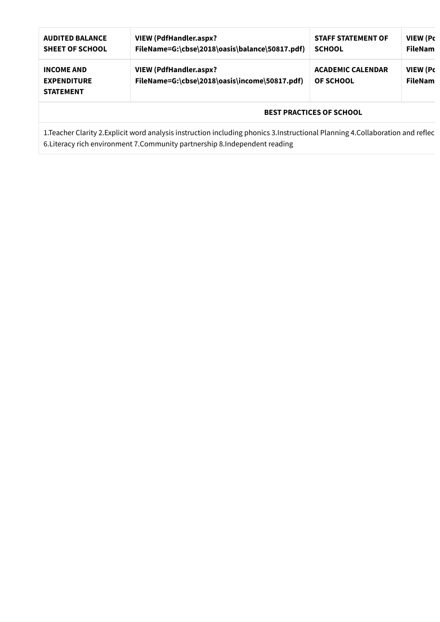| <b>AUDITED BALANCE</b><br><b>SHEET OF SCHOOL</b>                                                                                              | <b>VIEW (PdfHandler.aspx?</b><br>FileName=G:\cbse\2018\oasis\balance\50817.pdf) | <b>STAFF STATEMENT OF</b><br><b>SCHOOL</b>   | <b>VIEW (Pc</b><br><b>FileNam</b> |
|-----------------------------------------------------------------------------------------------------------------------------------------------|---------------------------------------------------------------------------------|----------------------------------------------|-----------------------------------|
| <b>VIEW (PdfHandler.aspx?</b><br><b>INCOME AND</b><br>FileName=G:\cbse\2018\oasis\income\50817.pdf)<br><b>EXPENDITURE</b><br><b>STATEMENT</b> |                                                                                 | <b>ACADEMIC CALENDAR</b><br><b>OF SCHOOL</b> | <b>VIEW (Pc</b><br><b>FileNam</b> |
|                                                                                                                                               |                                                                                 | <b>BEST PRACTICES OF SCHOOL</b>              |                                   |

1.Teacher Clarity 2.Explicit word analysis instruction including phonics 3.Instructional Planning 4.Collaboration and reflec 6.Literacy rich environment 7.Community partnership 8.Independent reading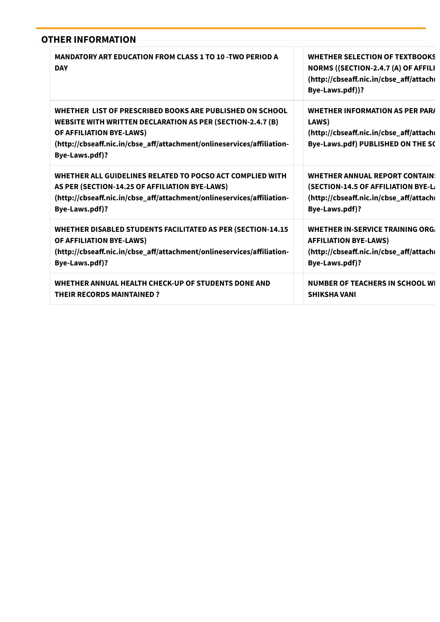| <b>OTHER INFORMATION</b>                                                                                                                                                                                                                              |                                                                                                                                           |
|-------------------------------------------------------------------------------------------------------------------------------------------------------------------------------------------------------------------------------------------------------|-------------------------------------------------------------------------------------------------------------------------------------------|
| <b>MANDATORY ART EDUCATION FROM CLASS 1 TO 10 -TWO PERIOD A</b><br><b>DAY</b>                                                                                                                                                                         | <b>WHETHER SELECTION OF TEXTBOOKS</b><br>NORMS ((SECTION-2.4.7 (A) OF AFFILI<br>(http://cbseaff.nic.in/cbse_aff/attach<br>Bye-Laws.pdf))? |
| WHETHER LIST OF PRESCRIBED BOOKS ARE PUBLISHED ON SCHOOL<br><b>WEBSITE WITH WRITTEN DECLARATION AS PER (SECTION-2.4.7 (B)</b><br>OF AFFILIATION BYE-LAWS)<br>(http://cbseaff.nic.in/cbse_aff/attachment/onlineservices/affiliation-<br>Bye-Laws.pdf)? | <b>WHETHER INFORMATION AS PER PARA</b><br>LAWS)<br>(http://cbseaff.nic.in/cbse_aff/attach<br>Bye-Laws.pdf) PUBLISHED ON THE SC            |
| WHETHER ALL GUIDELINES RELATED TO POCSO ACT COMPLIED WITH                                                                                                                                                                                             | <b>WHETHER ANNUAL REPORT CONTAIN:</b>                                                                                                     |
| AS PER (SECTION-14.25 OF AFFILIATION BYE-LAWS)                                                                                                                                                                                                        | (SECTION-14.5 OF AFFILIATION BYE-L                                                                                                        |
| (http://cbseaff.nic.in/cbse_aff/attachment/onlineservices/affiliation-                                                                                                                                                                                | (http://cbseaff.nic.in/cbse_aff/attach                                                                                                    |
| Bye-Laws.pdf)?                                                                                                                                                                                                                                        | Bye-Laws.pdf)?                                                                                                                            |
| WHETHER DISABLED STUDENTS FACILITATED AS PER (SECTION-14.15                                                                                                                                                                                           | WHETHER IN-SERVICE TRAINING ORG.                                                                                                          |
| OF AFFILIATION BYE-LAWS)                                                                                                                                                                                                                              | <b>AFFILIATION BYE-LAWS)</b>                                                                                                              |
| (http://cbseaff.nic.in/cbse_aff/attachment/onlineservices/affiliation-                                                                                                                                                                                | (http://cbseaff.nic.in/cbse_aff/attach                                                                                                    |
| Bye-Laws.pdf)?                                                                                                                                                                                                                                        | Bye-Laws.pdf)?                                                                                                                            |
| WHETHER ANNUAL HEALTH CHECK-UP OF STUDENTS DONE AND                                                                                                                                                                                                   | <b>NUMBER OF TEACHERS IN SCHOOL WI</b>                                                                                                    |
| <b>THEIR RECORDS MAINTAINED?</b>                                                                                                                                                                                                                      | <b>SHIKSHA VANI</b>                                                                                                                       |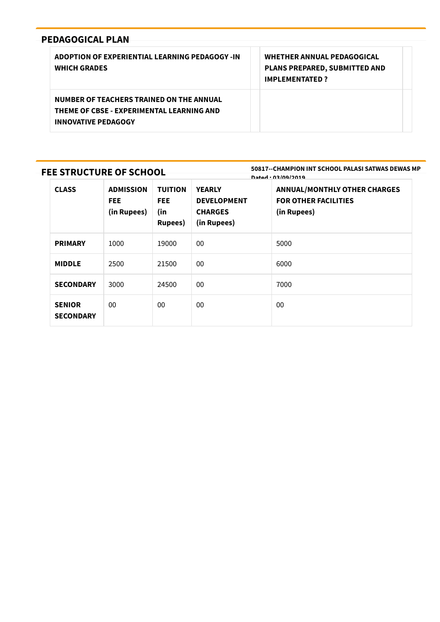| ADOPTION OF EXPERIENTIAL LEARNING PEDAGOGY -IN<br><b>WHICH GRADES</b>                                               | <b>WHETHER ANNUAL PEDAGOGICAL</b><br>PLANS PREPARED, SUBMITTED AND<br><b>IMPLEMENTATED?</b> |
|---------------------------------------------------------------------------------------------------------------------|---------------------------------------------------------------------------------------------|
| NUMBER OF TEACHERS TRAINED ON THE ANNUAL<br>THEME OF CBSE - EXPERIMENTAL LEARNING AND<br><b>INNOVATIVE PEDAGOGY</b> |                                                                                             |

## FEE STRUCTURE OF SCHOOL

50817--CHAMPION INT SCHOOL PALASI SATWAS DEWAS MP Dated : 03/09/2019

| <b>CLASS</b>                      | <b>ADMISSION</b><br><b>FEE</b><br>(in Rupees) | <b>TUITION</b><br><b>FEE</b><br>(in<br><b>Rupees</b> ) | <b>YEARLY</b><br><b>DEVELOPMENT</b><br><b>CHARGES</b><br>(in Rupees) | <b>ANNUAL/MONTHLY OTHER CHARGES</b><br><b>FOR OTHER FACILITIES</b><br>(in Rupees) |
|-----------------------------------|-----------------------------------------------|--------------------------------------------------------|----------------------------------------------------------------------|-----------------------------------------------------------------------------------|
| <b>PRIMARY</b>                    | 1000                                          | 19000                                                  | $00\,$                                                               | 5000                                                                              |
| <b>MIDDLE</b>                     | 2500                                          | 21500                                                  | 00                                                                   | 6000                                                                              |
| <b>SECONDARY</b>                  | 3000                                          | 24500                                                  | 00                                                                   | 7000                                                                              |
| <b>SENIOR</b><br><b>SECONDARY</b> | $00\,$                                        | 00                                                     | $00\,$                                                               | $00\,$                                                                            |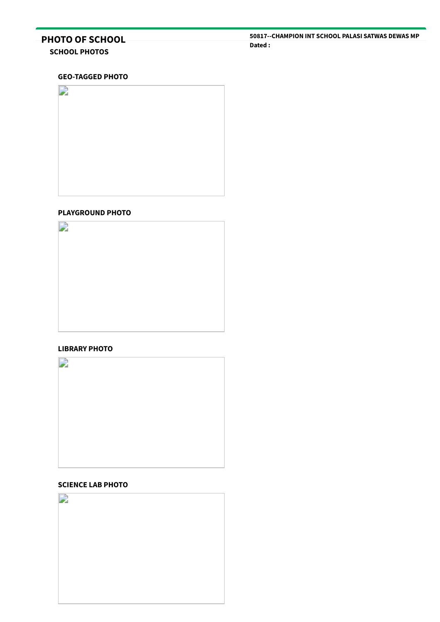# PHOTO OF SCHOOL

## SCHOOL PHOTOS

#### GEO-TAGGED PHOTO



### PLAYGROUND PHOTO



#### LIBRARY PHOTO



## SCIENCE LAB PHOTO

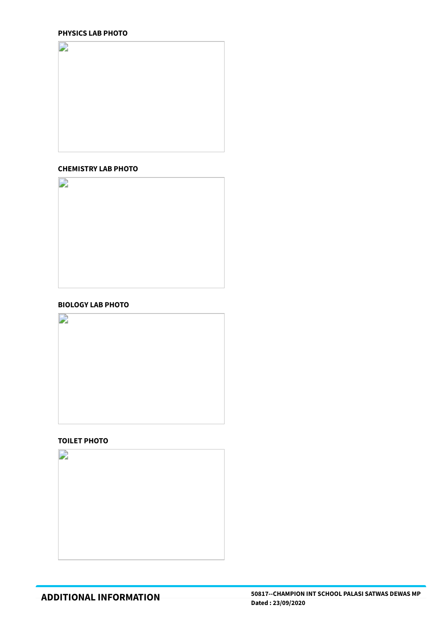## PHYSICS LAB PHOTO



#### CHEMISTRY LAB PHOTO



#### BIOLOGY LAB PHOTO



#### TOILET PHOTO

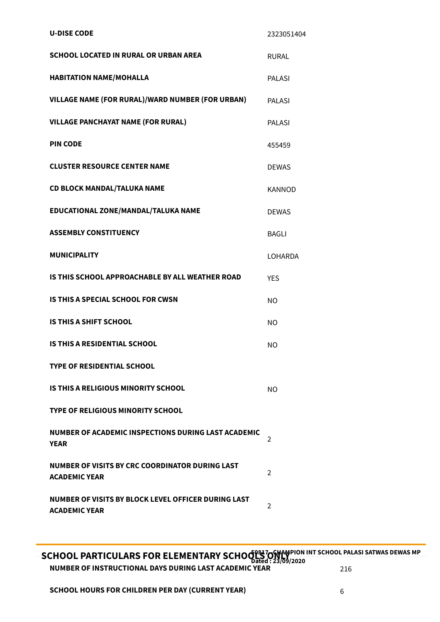| <b>U-DISE CODE</b>                                                          | 2323051404     |
|-----------------------------------------------------------------------------|----------------|
| <b>SCHOOL LOCATED IN RURAL OR URBAN AREA</b>                                | <b>RURAL</b>   |
| <b>HABITATION NAME/MOHALLA</b>                                              | <b>PALASI</b>  |
| VILLAGE NAME (FOR RURAL)/WARD NUMBER (FOR URBAN)                            | <b>PALASI</b>  |
| <b>VILLAGE PANCHAYAT NAME (FOR RURAL)</b>                                   | <b>PALASI</b>  |
| <b>PIN CODE</b>                                                             | 455459         |
| <b>CLUSTER RESOURCE CENTER NAME</b>                                         | <b>DEWAS</b>   |
| <b>CD BLOCK MANDAL/TALUKA NAME</b>                                          | <b>KANNOD</b>  |
| EDUCATIONAL ZONE/MANDAL/TALUKA NAME                                         | <b>DEWAS</b>   |
| <b>ASSEMBLY CONSTITUENCY</b>                                                | <b>BAGLI</b>   |
| <b>MUNICIPALITY</b>                                                         | <b>LOHARDA</b> |
| IS THIS SCHOOL APPROACHABLE BY ALL WEATHER ROAD                             | <b>YES</b>     |
| <b>IS THIS A SPECIAL SCHOOL FOR CWSN</b>                                    | <b>NO</b>      |
| <b>IS THIS A SHIFT SCHOOL</b>                                               | <b>NO</b>      |
| <b>IS THIS A RESIDENTIAL SCHOOL</b>                                         | <b>NO</b>      |
| <b>TYPE OF RESIDENTIAL SCHOOL</b>                                           |                |
| IS THIS A RELIGIOUS MINORITY SCHOOL                                         | <b>NO</b>      |
| <b>TYPE OF RELIGIOUS MINORITY SCHOOL</b>                                    |                |
| NUMBER OF ACADEMIC INSPECTIONS DURING LAST ACADEMIC<br><b>YEAR</b>          | 2              |
| NUMBER OF VISITS BY CRC COORDINATOR DURING LAST<br><b>ACADEMIC YEAR</b>     | $\overline{2}$ |
| NUMBER OF VISITS BY BLOCK LEVEL OFFICER DURING LAST<br><b>ACADEMIC YEAR</b> | 2              |

SCHOOL PARTICULARS FOR ELEMENTARY SCHOOL SOFT ON THE SCHOOL PALASI SATWAS DEWAS MP Dated : 23/09/2020 NUMBER OF INSTRUCTIONAL DAYS DURING LAST ACADEMIC YEAR 216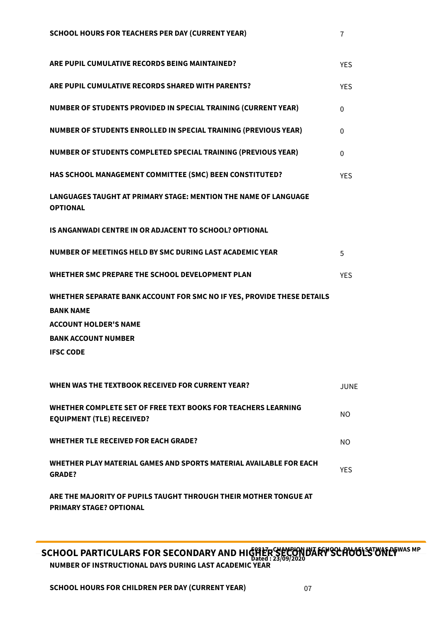| ARE PUPIL CUMULATIVE RECORDS BEING MAINTAINED?                                                                             | <b>YES</b> |
|----------------------------------------------------------------------------------------------------------------------------|------------|
| ARE PUPIL CUMULATIVE RECORDS SHARED WITH PARENTS?                                                                          | <b>YES</b> |
| NUMBER OF STUDENTS PROVIDED IN SPECIAL TRAINING (CURRENT YEAR)                                                             | $\Omega$   |
| NUMBER OF STUDENTS ENROLLED IN SPECIAL TRAINING (PREVIOUS YEAR)                                                            | 0          |
| NUMBER OF STUDENTS COMPLETED SPECIAL TRAINING (PREVIOUS YEAR)                                                              | $\Omega$   |
| HAS SCHOOL MANAGEMENT COMMITTEE (SMC) BEEN CONSTITUTED?                                                                    | <b>YES</b> |
| LANGUAGES TAUGHT AT PRIMARY STAGE: MENTION THE NAME OF LANGUAGE<br><b>OPTIONAL</b>                                         |            |
| IS ANGANWADI CENTRE IN OR ADJACENT TO SCHOOL? OPTIONAL                                                                     |            |
| NUMBER OF MEETINGS HELD BY SMC DURING LAST ACADEMIC YEAR                                                                   | 5          |
| WHETHER SMC PREPARE THE SCHOOL DEVELOPMENT PLAN                                                                            | <b>YES</b> |
| WHETHER SEPARATE BANK ACCOUNT FOR SMC NO IF YES, PROVIDE THESE DETAILS<br><b>BANK NAME</b><br><b>ACCOUNT HOLDER'S NAME</b> |            |
| <b>BANK ACCOUNT NUMBER</b><br><b>IFSC CODE</b>                                                                             |            |
|                                                                                                                            |            |
| WHEN WAS THE TEXTBOOK RECEIVED FOR CURRENT YEAR?                                                                           | JUNE       |
| WHETHER COMPLETE SET OF FREE TEXT BOOKS FOR TEACHERS LEARNING<br><b>EQUIPMENT (TLE) RECEIVED?</b>                          | NO.        |
| <b>WHETHER TLE RECEIVED FOR EACH GRADE?</b>                                                                                | NO.        |
| WHETHER PLAY MATERIAL GAMES AND SPORTS MATERIAL AVAILABLE FOR EACH<br><b>GRADE?</b>                                        | <b>YES</b> |
|                                                                                                                            |            |

ARE THE MAJORITY OF PUPILS TAUGHT THROUGH THEIR MOTHER TONGUE AT PRIMARY STAGE? OPTIONAL

SCHOOL PARTICULARS FOR SECONDARY AND HIGHER SECOND FOR SCHOOLSTONERWAS MP Dated : 23/09/2020 NUMBER OF INSTRUCTIONAL DAYS DURING LAST ACADEMIC YEAR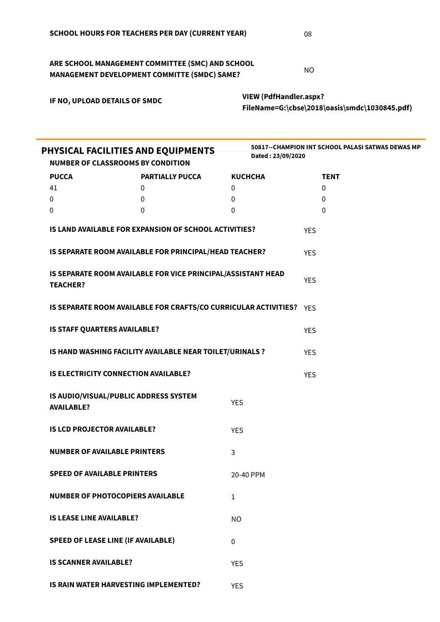ARE SCHOOL MANAGEMENT COMMITTEE (SMC) AND SCHOOL MANAGEMENT DEVELOPMENT COMMITTE (SMDC) SAME?

VIEW (PdfHandler.aspx? [FileName=G:\cbse\2018\oasis\smdc\1030845.pdf\)](http://59.179.16.89/cbse/2018/oasis/PdfHandler.aspx?FileName=G:\cbse\2018\oasis\smdc\1030845.pdf)

| PHYSICAL FACILITIES AND EQUIPMENTS<br><b>NUMBER OF CLASSROOMS BY CONDITION</b> |                                                                     | Dated: 23/09/2020 | 50817--CHAMPION INT SCHOOL PALASI SATWAS DEWAS MP |
|--------------------------------------------------------------------------------|---------------------------------------------------------------------|-------------------|---------------------------------------------------|
| <b>PUCCA</b>                                                                   | <b>PARTIALLY PUCCA</b>                                              | <b>KUCHCHA</b>    | <b>TENT</b>                                       |
| 41                                                                             | 0                                                                   | 0                 | $\mathbf 0$                                       |
| 0                                                                              | 0                                                                   | 0                 | 0                                                 |
| 0                                                                              | $\mathbf{0}$                                                        | 0                 | 0                                                 |
|                                                                                | IS LAND AVAILABLE FOR EXPANSION OF SCHOOL ACTIVITIES?               |                   | <b>YES</b>                                        |
|                                                                                | IS SEPARATE ROOM AVAILABLE FOR PRINCIPAL/HEAD TEACHER?              |                   | <b>YES</b>                                        |
| <b>TEACHER?</b>                                                                | IS SEPARATE ROOM AVAILABLE FOR VICE PRINCIPAL/ASSISTANT HEAD        |                   | <b>YES</b>                                        |
|                                                                                | IS SEPARATE ROOM AVAILABLE FOR CRAFTS/CO CURRICULAR ACTIVITIES? YES |                   |                                                   |
| IS STAFF QUARTERS AVAILABLE?                                                   |                                                                     |                   | <b>YES</b>                                        |
|                                                                                | IS HAND WASHING FACILITY AVAILABLE NEAR TOILET/URINALS ?            |                   | <b>YES</b>                                        |
| IS ELECTRICITY CONNECTION AVAILABLE?                                           |                                                                     |                   | <b>YES</b>                                        |
| <b>AVAILABLE?</b>                                                              | IS AUDIO/VISUAL/PUBLIC ADDRESS SYSTEM                               | <b>YES</b>        |                                                   |
| <b>IS LCD PROJECTOR AVAILABLE?</b>                                             |                                                                     | <b>YES</b>        |                                                   |
| <b>NUMBER OF AVAILABLE PRINTERS</b>                                            |                                                                     | 3                 |                                                   |
| <b>SPEED OF AVAILABLE PRINTERS</b>                                             |                                                                     | 20-40 PPM         |                                                   |
| <b>NUMBER OF PHOTOCOPIERS AVAILABLE</b>                                        |                                                                     | 1                 |                                                   |
| <b>IS LEASE LINE AVAILABLE?</b>                                                |                                                                     | <b>NO</b>         |                                                   |
| <b>SPEED OF LEASE LINE (IF AVAILABLE)</b>                                      |                                                                     | $\Omega$          |                                                   |
| <b>IS SCANNER AVAILABLE?</b>                                                   |                                                                     | <b>YES</b>        |                                                   |
|                                                                                | IS RAIN WATER HARVESTING IMPLEMENTED?                               | <b>YES</b>        |                                                   |

NO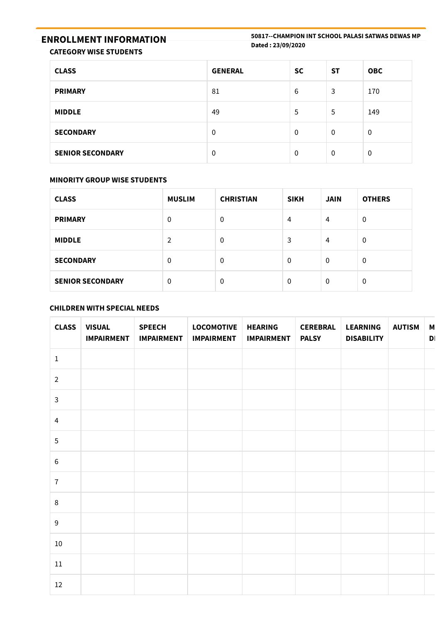# ENROLLMENT INFORMATION

50817--CHAMPION INT SCHOOL PALASI SATWAS DEWAS MP Dated : 23/09/2020

CATEGORY WISE STUDENTS

| <b>CLASS</b>            | <b>GENERAL</b> | <b>SC</b> | <b>ST</b>   | <b>OBC</b>     |
|-------------------------|----------------|-----------|-------------|----------------|
| <b>PRIMARY</b>          | 81             | 6         | 3           | 170            |
| <b>MIDDLE</b>           | 49             | 5         | 5           | 149            |
| <b>SECONDARY</b>        | $\Omega$       | $\Omega$  | $\mathbf 0$ | $\overline{0}$ |
| <b>SENIOR SECONDARY</b> | 0              | $\Omega$  | 0           | $\mathbf 0$    |

### MINORITY GROUP WISE STUDENTS

| <b>CLASS</b>            | <b>MUSLIM</b> | <b>CHRISTIAN</b> | <b>SIKH</b> | <b>JAIN</b> | <b>OTHERS</b> |
|-------------------------|---------------|------------------|-------------|-------------|---------------|
| <b>PRIMARY</b>          | $\mathbf 0$   | 0                | 4           | 4           | $\mathbf 0$   |
| <b>MIDDLE</b>           | 2             | 0                | 3           | 4           | $\mathbf 0$   |
| <b>SECONDARY</b>        | $\mathbf 0$   | $\mathbf{0}$     | $\Omega$    | $\mathbf 0$ | $\mathbf 0$   |
| <b>SENIOR SECONDARY</b> | $\mathbf 0$   | 0                | 0           | $\mathbf 0$ | 0             |

## CHILDREN WITH SPECIAL NEEDS

| <b>CLASS</b>   | <b>VISUAL</b><br><b>IMPAIRMENT</b> | <b>SPEECH</b><br><b>IMPAIRMENT</b> | <b>LOCOMOTIVE</b><br><b>IMPAIRMENT</b> | <b>HEARING</b><br><b>IMPAIRMENT</b> | <b>CEREBRAL</b><br><b>PALSY</b> | <b>LEARNING</b><br><b>DISABILITY</b> | <b>AUTISM</b> | М<br>D |
|----------------|------------------------------------|------------------------------------|----------------------------------------|-------------------------------------|---------------------------------|--------------------------------------|---------------|--------|
| $\mathbf 1$    |                                    |                                    |                                        |                                     |                                 |                                      |               |        |
| $\overline{2}$ |                                    |                                    |                                        |                                     |                                 |                                      |               |        |
| $\mathbf{3}$   |                                    |                                    |                                        |                                     |                                 |                                      |               |        |
| $\overline{4}$ |                                    |                                    |                                        |                                     |                                 |                                      |               |        |
| 5              |                                    |                                    |                                        |                                     |                                 |                                      |               |        |
| $\,6\,$        |                                    |                                    |                                        |                                     |                                 |                                      |               |        |
| $\overline{7}$ |                                    |                                    |                                        |                                     |                                 |                                      |               |        |
| $\,8\,$        |                                    |                                    |                                        |                                     |                                 |                                      |               |        |
| $9\,$          |                                    |                                    |                                        |                                     |                                 |                                      |               |        |
| 10             |                                    |                                    |                                        |                                     |                                 |                                      |               |        |
| $11\,$         |                                    |                                    |                                        |                                     |                                 |                                      |               |        |
| 12             |                                    |                                    |                                        |                                     |                                 |                                      |               |        |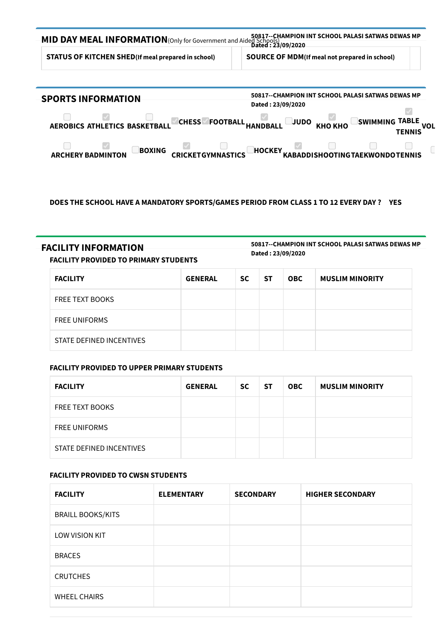

#### DOES THE SCHOOL HAVE A MANDATORY SPORTS/GAMES PERIOD FROM CLASS 1 TO 12 EVERY DAY ? YES

## FACILITY INFORMATION

50817--CHAMPION INT SCHOOL PALASI SATWAS DEWAS MP Dated : 23/09/2020

#### FACILITY PROVIDED TO PRIMARY STUDENTS

| <b>FACILITY</b>          | <b>GENERAL</b> | <b>SC</b> | -ST | <b>OBC</b> | <b>MUSLIM MINORITY</b> |
|--------------------------|----------------|-----------|-----|------------|------------------------|
| <b>FREE TEXT BOOKS</b>   |                |           |     |            |                        |
| <b>FREE UNIFORMS</b>     |                |           |     |            |                        |
| STATE DEFINED INCENTIVES |                |           |     |            |                        |

#### FACILITY PROVIDED TO UPPER PRIMARY STUDENTS

| <b>FACILITY</b>          | <b>GENERAL</b> | SC | <b>ST</b> | <b>OBC</b> | <b>MUSLIM MINORITY</b> |
|--------------------------|----------------|----|-----------|------------|------------------------|
| <b>FREE TEXT BOOKS</b>   |                |    |           |            |                        |
| <b>FREE UNIFORMS</b>     |                |    |           |            |                        |
| STATE DEFINED INCENTIVES |                |    |           |            |                        |

#### FACILITY PROVIDED TO CWSN STUDENTS

| <b>FACILITY</b>          | <b>ELEMENTARY</b> | <b>SECONDARY</b> | <b>HIGHER SECONDARY</b> |
|--------------------------|-------------------|------------------|-------------------------|
| <b>BRAILL BOOKS/KITS</b> |                   |                  |                         |
| LOW VISION KIT           |                   |                  |                         |
| <b>BRACES</b>            |                   |                  |                         |
| <b>CRUTCHES</b>          |                   |                  |                         |
| <b>WHEEL CHAIRS</b>      |                   |                  |                         |